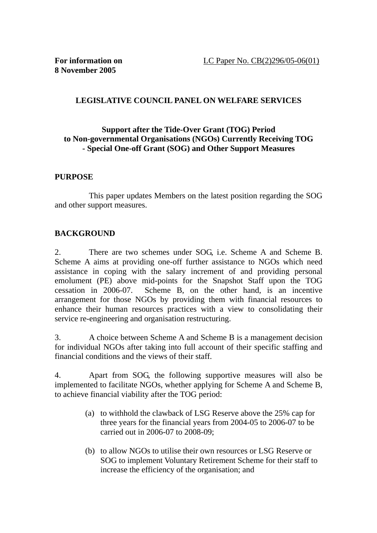# **LEGISLATIVE COUNCIL PANEL ON WELFARE SERVICES**

## **Support after the Tide-Over Grant (TOG) Period to Non-governmental Organisations (NGOs) Currently Receiving TOG - Special One-off Grant (SOG) and Other Support Measures**

## **PURPOSE**

 This paper updates Members on the latest position regarding the SOG and other support measures.

## **BACKGROUND**

2. There are two schemes under SOG, i.e. Scheme A and Scheme B. Scheme A aims at providing one-off further assistance to NGOs which need assistance in coping with the salary increment of and providing personal emolument (PE) above mid-points for the Snapshot Staff upon the TOG cessation in 2006-07. Scheme B, on the other hand, is an incentive arrangement for those NGOs by providing them with financial resources to enhance their human resources practices with a view to consolidating their service re-engineering and organisation restructuring.

3. A choice between Scheme A and Scheme B is a management decision for individual NGOs after taking into full account of their specific staffing and financial conditions and the views of their staff.

4. Apart from SOG, the following supportive measures will also be implemented to facilitate NGOs, whether applying for Scheme A and Scheme B, to achieve financial viability after the TOG period:

- (a) to withhold the clawback of LSG Reserve above the 25% cap for three years for the financial years from 2004-05 to 2006-07 to be carried out in 2006-07 to 2008-09;
- (b) to allow NGOs to utilise their own resources or LSG Reserve or SOG to implement Voluntary Retirement Scheme for their staff to increase the efficiency of the organisation; and